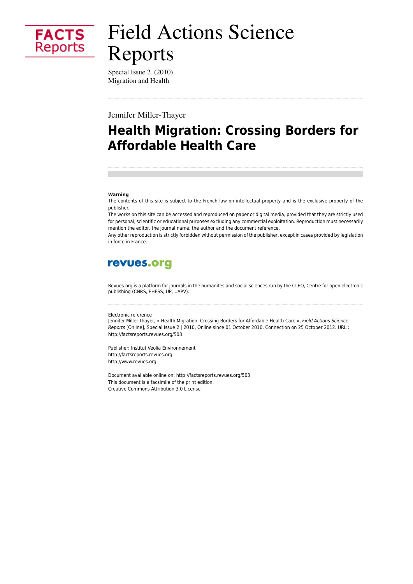

# **Field Actions Science** Reports

Special Issue 2 (2010) Migration and Health

Jennifer Miller-Thayer

## **Health Migration: Crossing Borders for Affordable Health Care**

#### Warning

The contents of this site is subject to the French law on intellectual property and is the exclusive property of the publisher.

The works on this site can be accessed and reproduced on paper or digital media, provided that they are strictly used for personal, scientific or educational purposes excluding any commercial exploitation. Reproduction must necessarily mention the editor, the journal name, the author and the document reference.

Any other reproduction is strictly forbidden without permission of the publisher, except in cases provided by legislation in force in France.

### revues.org

Revues.org is a platform for journals in the humanites and social sciences run by the CLEO, Centre for open electronic publishing (CNRS, EHESS, UP, UAPV).

#### Electronic reference

Jennifer Miller-Thayer, « Health Migration: Crossing Borders for Affordable Health Care », Field Actions Science Reports [Online], Special Issue 2 | 2010, Online since 01 October 2010, Connection on 25 October 2012. URL : http://factsreports.revues.org/503

Publisher: Institut Veolia Environnement http://factsreports.revues.org http://www.revues.org

Document available online on: http://factsreports.revues.org/503 This document is a facsimile of the print edition. Creative Commons Attribution 3.0 License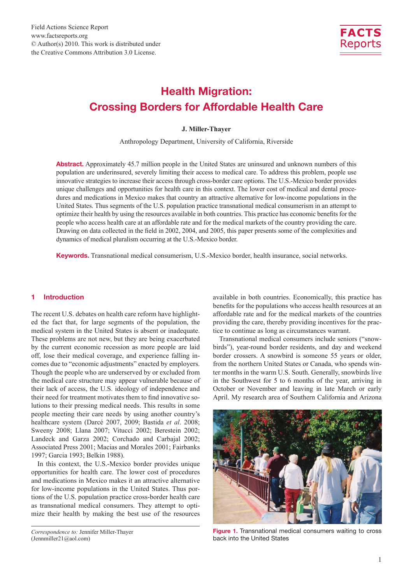

### Health Migration: Crossing Borders for Affordable Health Care

#### **J. Miller-Thayer**

Anthropology Department, University of California, Riverside

Abstract. Approximately 45.7 million people in the United States are uninsured and unknown numbers of this population are underinsured, severely limiting their access to medical care. To address this problem, people use innovative strategies to increase their access through cross-border care options. The U.S.-Mexico border provides unique challenges and opportunities for health care in this context. The lower cost of medical and dental procedures and medications in Mexico makes that country an attractive alternative for low-income populations in the United States. Thus segments of the U.S. population practice transnational medical consumerism in an attempt to optimize their health by using the resources available in both countries. This practice has economic benefits for the people who access health care at an affordable rate and for the medical markets of the country providing the care. Drawing on data collected in the field in 2002, 2004, and 2005, this paper presents some of the complexities and dynamics of medical pluralism occurring at the U.S.-Mexico border.

Keywords. Transnational medical consumerism, U.S.-Mexico border, health insurance, social networks.

#### 1 Introduction

The recent U.S. debates on health care reform have highlighted the fact that, for large segments of the population, the medical system in the United States is absent or inadequate. These problems are not new, but they are being exacerbated by the current economic recession as more people are laid off, lose their medical coverage, and experience falling incomes due to "economic adjustments" enacted by employers. Though the people who are underserved by or excluded from the medical care structure may appear vulnerable because of their lack of access, the U.S. ideology of independence and their need for treatment motivates them to find innovative solutions to their pressing medical needs. This results in some people meeting their care needs by using another country's healthcare system (Darcé 2007, 2009; Bastida *et al*. 2008; Sweeny 2008; Llana 2007; Vitucci 2002; Berestein 2002; Landeck and Garza 2002; Corchado and Carbajal 2002; Associated Press 2001; Macias and Morales 2001; Fairbanks 1997; Garcia 1993; Belkin 1988).

In this context, the U.S.-Mexico border provides unique opportunities for health care. The lower cost of procedures and medications in Mexico makes it an attractive alternative for low-income populations in the United States. Thus portions of the U.S. population practice cross-border health care as transnational medical consumers. They attempt to optimize their health by making the best use of the resources

available in both countries. Economically, this practice has benefits for the populations who access health resources at an affordable rate and for the medical markets of the countries providing the care, thereby providing incentives for the practice to continue as long as circumstances warrant.

Transnational medical consumers include seniors ("snowbirds"), year-round border residents, and day and weekend border crossers. A snowbird is someone 55 years or older, from the northern United States or Canada, who spends winter months in the warm U.S. South. Generally, snowbirds live in the Southwest for 5 to 6 months of the year, arriving in October or November and leaving in late March or early April. My research area of Southern California and Arizona



Figure 1. Transnational medical consumers waiting to cross back into the United States

*Correspondence to:* Jennifer Miller-Thayer (Jennmiller21@aol.com)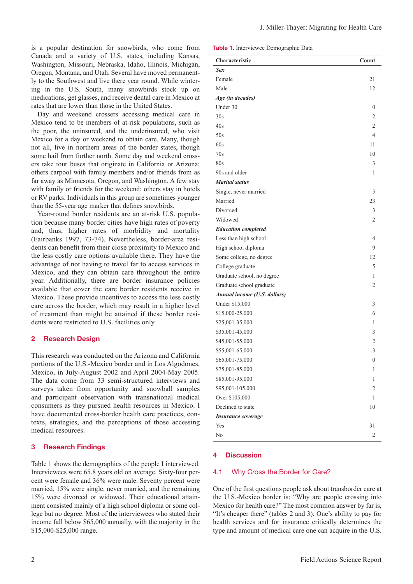is a popular destination for snowbirds, who come from Canada and a variety of U.S. states, including Kansas, Washington, Missouri, Nebraska, Idaho, Illinois, Michigan, Oregon, Montana, and Utah. Several have moved permanently to the Southwest and live there year round. While wintering in the U.S. South, many snowbirds stock up on medications, get glasses, and receive dental care in Mexico at rates that are lower than those in the United States.

Day and weekend crossers accessing medical care in Mexico tend to be members of at-risk populations, such as the poor, the uninsured, and the underinsured, who visit Mexico for a day or weekend to obtain care. Many, though not all, live in northern areas of the border states, though some hail from further north. Some day and weekend crossers take tour buses that originate in California or Arizona; others carpool with family members and/or friends from as far away as Minnesota, Oregon, and Washington. A few stay with family or friends for the weekend; others stay in hotels or RV parks. Individuals in this group are sometimes younger than the 55-year age marker that defines snowbirds.

Year-round border residents are an at-risk U.S. population because many border cities have high rates of poverty and, thus, higher rates of morbidity and mortality (Fairbanks 1997, 73-74). Nevertheless, border-area residents can benefit from their close proximity to Mexico and the less costly care options available there. They have the advantage of not having to travel far to access services in Mexico, and they can obtain care throughout the entire year. Additionally, there are border insurance policies available that cover the care border residents receive in Mexico. These provide incentives to access the less costly care across the border, which may result in a higher level of treatment than might be attained if these border residents were restricted to U.S. facilities only.

#### 2 Research Design

This research was conducted on the Arizona and California portions of the U.S.-Mexico border and in Los Algodones, Mexico, in July-August 2002 and April 2004-May 2005. The data come from 33 semi-structured interviews and surveys taken from opportunity and snowball samples and participant observation with transnational medical consumers as they pursued health resources in Mexico. I have documented cross-border health care practices, contexts, strategies, and the perceptions of those accessing medical resources.

#### 3 Research Findings

Table 1 shows the demographics of the people I interviewed. Interviewees were 65.8 years old on average. Sixty-four percent were female and 36% were male. Seventy percent were married, 15% were single, never married, and the remaining 15% were divorced or widowed. Their educational attainment consisted mainly of a high school diploma or some college but no degree. Most of the interviewees who stated their income fall below \$65,000 annually, with the majority in the \$15,000-\$25,000 range.

Table 1. Interviewee Demographic Data

| Characteristic               | Count          |
|------------------------------|----------------|
| Sex                          |                |
| Female                       | 21             |
| Male                         | 12             |
| Age (in decades)             |                |
| Under 30                     | 0              |
| 30s                          | $\mathfrak{2}$ |
| 40s                          | $\mathfrak{2}$ |
| 50s                          | 4              |
| 60s                          | 11             |
| 70s                          | 10             |
| 80s                          | 3              |
| 90s and older                | 1              |
| <b>Marital status</b>        |                |
| Single, never married        | 5              |
| Married                      | 23             |
| Divorced                     | 3              |
| Widowed                      | 2              |
| <b>Education completed</b>   |                |
| Less than high school        | $\overline{4}$ |
| High school diploma          | 9              |
| Some college, no degree      | 12             |
| College graduate             | 5              |
| Graduate school, no degree   | 1              |
| Graduate school graduate     | 2              |
| Annual income (U.S. dollars) |                |
| Under \$15,000               | 3              |
| \$15,000-25,000              | 6              |
| \$25,001-35,000              | 1              |
| \$35,001-45,000              | 3              |
| \$45,001-55,000              | $\mathfrak{2}$ |
| \$55,001-65,000              | 3              |
| \$65,001-75,000              | 0              |
| \$75,001-85,000              | 1              |
| \$85,001-95,000              | $\mathbf{1}$   |
| \$95,001-105,000             | $\overline{c}$ |
| Over \$105,000               | 1              |
| Declined to state            | 10             |
| <b>Insurance coverage</b>    |                |
| Yes                          | 31             |
| No                           | 2              |

#### 4 Discussion

#### 4.1 Why Cross the Border for Care?

One of the first questions people ask about transborder care at the U.S.-Mexico border is: "Why are people crossing into Mexico for health care?" The most common answer by far is, "It's cheaper there" (tables 2 and 3). One's ability to pay for health services and for insurance critically determines the type and amount of medical care one can acquire in the U.S.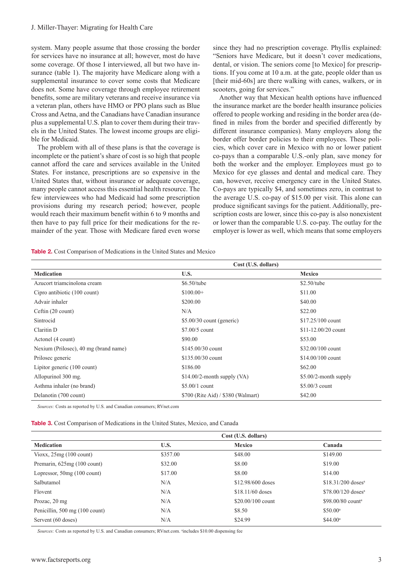system. Many people assume that those crossing the border for services have no insurance at all; however, most do have some coverage. Of those I interviewed, all but two have insurance (table 1). The majority have Medicare along with a supplemental insurance to cover some costs that Medicare does not. Some have coverage through employee retirement benefits, some are military veterans and receive insurance via a veteran plan, others have HMO or PPO plans such as Blue Cross and Aetna, and the Canadians have Canadian insurance plus a supplemental U.S. plan to cover them during their travels in the United States. The lowest income groups are eligible for Medicaid.

The problem with all of these plans is that the coverage is incomplete or the patient's share of cost is so high that people cannot afford the care and services available in the United States. For instance, prescriptions are so expensive in the United States that, without insurance or adequate coverage, many people cannot access this essential health resource. The few interviewees who had Medicaid had some prescription provisions during my research period; however, people would reach their maximum benefit within 6 to 9 months and then have to pay full price for their medications for the remainder of the year. Those with Medicare fared even worse

since they had no prescription coverage. Phyllis explained: "Seniors have Medicare, but it doesn't cover medications, dental, or vision. The seniors come [to Mexico] for prescriptions. If you come at 10 a.m. at the gate, people older than us [their mid-60s] are there walking with canes, walkers, or in scooters, going for services."

Another way that Mexican health options have influenced the insurance market are the border health insurance policies offered to people working and residing in the border area (defined in miles from the border and specified differently by different insurance companies). Many employers along the border offer border policies to their employees. These policies, which cover care in Mexico with no or lower patient co-pays than a comparable U.S.-only plan, save money for both the worker and the employer. Employees must go to Mexico for eye glasses and dental and medical care. They can, however, receive emergency care in the United States. Co-pays are typically \$4, and sometimes zero, in contrast to the average U.S. co-pay of \$15.00 per visit. This alone can produce significant savings for the patient. Additionally, prescription costs are lower, since this co-pay is also nonexistent or lower than the comparable U.S. co-pay. The outlay for the employer is lower as well, which means that some employers

|  |  |  | <b>Table 2.</b> Cost Comparison of Medications in the United States and Mexico |  |  |  |  |
|--|--|--|--------------------------------------------------------------------------------|--|--|--|--|
|--|--|--|--------------------------------------------------------------------------------|--|--|--|--|

|                                       | Cost (U.S. dollars)                |                         |  |  |  |
|---------------------------------------|------------------------------------|-------------------------|--|--|--|
| <b>Medication</b>                     | U.S.                               | <b>Mexico</b>           |  |  |  |
| Azucort triamcinolona cream           | $$6.50$ /tube                      | $$2.50$ /tube           |  |  |  |
| Cipro antibiotic (100 count)          | $$100.00+$                         | \$11.00                 |  |  |  |
| Advair inhaler                        | \$200.00                           | \$40.00                 |  |  |  |
| Ceftin (20 count)                     | N/A                                | \$22.00                 |  |  |  |
| Sintrocid                             | $$5.00/30$ count (generic)         | $$17.25/100$ count      |  |  |  |
| Claritin D                            | $$7.00/5$ count                    | $$11-12.00/20$ count    |  |  |  |
| Actonel (4 count)                     | \$90.00                            | \$53.00                 |  |  |  |
| Nexium (Prilosec), 40 mg (brand name) | $$145.00/30$ count                 | \$32,00/100 count       |  |  |  |
| Prilosec generic                      | $$135.00/30$ count                 | $$14.00/100$ count      |  |  |  |
| Lipitor generic (100 count)           | \$186.00                           | \$62.00                 |  |  |  |
| Allopurinol 300 mg.                   | $$14.00/2$ -month supply (VA)      | $$5.00/2$ -month supply |  |  |  |
| Asthma inhaler (no brand)             | $$5.00/1$ count                    | $$5.00/3$ count         |  |  |  |
| Delanotin (700 count)                 | \$700 (Rite Aid) / \$380 (Walmart) | \$42.00                 |  |  |  |

*Sources:* Costs as reported by U.S. and Canadian consumers; RVnet.com

|  |  | <b>Table 3.</b> Cost Comparison of Medications in the United States, Mexico, and Canada |  |  |  |  |  |  |  |  |  |
|--|--|-----------------------------------------------------------------------------------------|--|--|--|--|--|--|--|--|--|
|--|--|-----------------------------------------------------------------------------------------|--|--|--|--|--|--|--|--|--|

|                                      | Cost (U.S. dollars) |                    |                                 |  |  |  |
|--------------------------------------|---------------------|--------------------|---------------------------------|--|--|--|
| <b>Medication</b>                    | U.S.                | <b>Mexico</b>      | Canada                          |  |  |  |
| Vioxx, $25mg(100 \text{ count})$     | \$357.00            | \$48.00            | \$149.00                        |  |  |  |
| Premarin, 625mg (100 count)          | \$32.00             | \$8.00             | \$19.00                         |  |  |  |
| Lopressor, $50mg(100 \text{ count})$ | \$17.00             | \$8.00             | \$14.00                         |  |  |  |
| Salbutamol                           | N/A                 | \$12,98/600 doses  | $$18.31/200$ doses <sup>a</sup> |  |  |  |
| Flovent                              | N/A                 | $$18.11/60$ doses  | $$78.00/120$ doses <sup>a</sup> |  |  |  |
| Prozac, 20 mg                        | N/A                 | $$20.00/100$ count | $$98.00/80$ count <sup>a</sup>  |  |  |  |
| Penicillin, 500 mg (100 count)       | N/A                 | \$8.50             | $$50.00^{\circ}$$               |  |  |  |
| Servent (60 doses)                   | N/A                 | \$24.99            | \$44.00 <sup>a</sup>            |  |  |  |

Sources: Costs as reported by U.S. and Canadian consumers; RVnet.com. <sup>a</sup>includes \$10.00 dispensing fee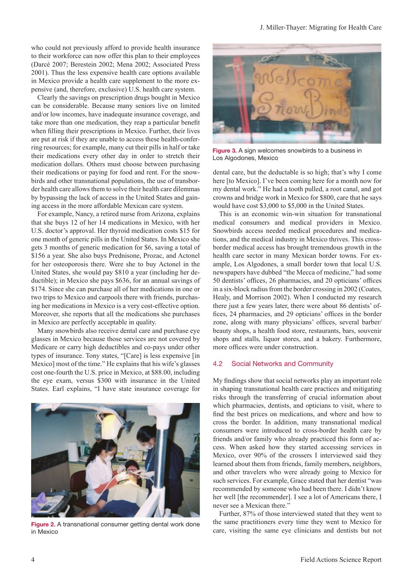who could not previously afford to provide health insurance to their workforce can now offer this plan to their employees (Darcé 2007; Berestein 2002; Mena 2002; Associated Press 2001). Thus the less expensive health care options available in Mexico provide a health care supplement to the more expensive (and, therefore, exclusive) U.S. health care system.

Clearly the savings on prescription drugs bought in Mexico can be considerable. Because many seniors live on limited and/or low incomes, have inadequate insurance coverage, and take more than one medication, they reap a particular benefit when filling their prescriptions in Mexico. Further, their lives are put at risk if they are unable to access these health-conferring resources; for example, many cut their pills in half or take their medications every other day in order to stretch their medication dollars. Others must choose between purchasing their medications or paying for food and rent. For the snowbirds and other transnational populations, the use of transborder health care allows them to solve their health care dilemmas by bypassing the lack of access in the United States and gaining access in the more affordable Mexican care system.

For example, Nancy, a retired nurse from Arizona, explains that she buys 12 of her 14 medications in Mexico, with her U.S. doctor's approval. Her thyroid medication costs \$15 for one month of generic pills in the United States. In Mexico she gets 3 months of generic medication for \$6, saving a total of \$156 a year. She also buys Prednisone, Prozac, and Actonel for her osteoporosis there. Were she to buy Actonel in the United States, she would pay \$810 a year (including her deductible); in Mexico she pays \$636, for an annual savings of \$174. Since she can purchase all of her medications in one or two trips to Mexico and carpools there with friends, purchasing her medications in Mexico is a very cost-effective option. Moreover, she reports that all the medications she purchases in Mexico are perfectly acceptable in quality.

Many snowbirds also receive dental care and purchase eye glasses in Mexico because those services are not covered by Medicare or carry high deductibles and co-pays under other types of insurance. Tony states, "[Care] is less expensive [in Mexico] most of the time." He explains that his wife's glasses cost one-fourth the U.S. price in Mexico, at \$88.00, including the eye exam, versus \$300 with insurance in the United States. Earl explains, "I have state insurance coverage for



Figure 2. A transnational consumer getting dental work done in Mexico



Figure 3. A sign welcomes snowbirds to a business in Los Algodones, Mexico

dental care, but the deductable is so high; that's why I come here [to Mexico]. I've been coming here for a month now for my dental work." He had a tooth pulled, a root canal, and got crowns and bridge work in Mexico for \$800, care that he says would have cost \$3,000 to \$5,000 in the United States.

This is an economic win-win situation for transnational medical consumers and medical providers in Mexico. Snowbirds access needed medical procedures and medications, and the medical industry in Mexico thrives. This crossborder medical access has brought tremendous growth in the health care sector in many Mexican border towns. For example, Los Algodones, a small border town that local U.S. newspapers have dubbed "the Mecca of medicine," had some 50 dentists' offices, 26 pharmacies, and 20 opticians' offices in a six-block radius from the border crossing in 2002 (Coates, Healy, and Morrison 2002). When I conducted my research there just a few years later, there were about 86 dentists' offices, 24 pharmacies, and 29 opticians' offices in the border zone, along with many physicians' offices, several barber/ beauty shops, a health food store, restaurants, bars, souvenir shops and stalls, liquor stores, and a bakery. Furthermore, more offices were under construction.

#### 4.2 Social Networks and Community

My findings show that social networks play an important role in shaping transnational health care practices and mitigating risks through the transferring of crucial information about which pharmacies, dentists, and opticians to visit, where to find the best prices on medications, and where and how to cross the border. In addition, many transnational medical consumers were introduced to cross-border health care by friends and/or family who already practiced this form of access. When asked how they started accessing services in Mexico, over 90% of the crossers I interviewed said they learned about them from friends, family members, neighbors, and other travelers who were already going to Mexico for such services. For example, Grace stated that her dentist "was recommended by someone who had been there. I didn't know her well [the recommender]. I see a lot of Americans there, I never see a Mexican there."

Further, 87% of those interviewed stated that they went to the same practitioners every time they went to Mexico for care, visiting the same eye clinicians and dentists but not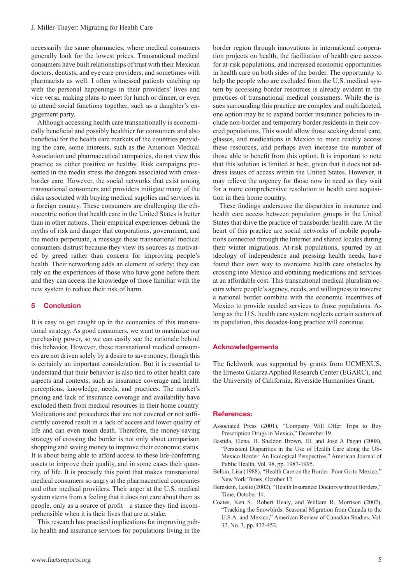necessarily the same pharmacies, where medical consumers generally look for the lowest prices. Transnational medical consumers have built relationships of trust with their Mexican doctors, dentists, and eye care providers, and sometimes with pharmacists as well. I often witnessed patients catching up with the personal happenings in their providers' lives and vice versa, making plans to meet for lunch or dinner, or even to attend social functions together, such as a daughter's engagement party.

Although accessing health care transnationally is economically beneficial and possibly healthier for consumers and also beneficial for the health care markets of the countries providing the care, some interests, such as the American Medical Association and pharmaceutical companies, do not view this practice as either positive or healthy. Risk campaigns presented in the media stress the dangers associated with crossborder care. However, the social networks that exist among transnational consumers and providers mitigate many of the risks associated with buying medical supplies and services in a foreign country. These consumers are challenging the ethnocentric notion that health care in the United States is better than in other nations. Their empirical experiences debunk the myths of risk and danger that corporations, government, and the media perpetuate, a message these transnational medical consumers distrust because they view its sources as motivated by greed rather than concern for improving people's health. Their networking adds an element of safety; they can rely on the experiences of those who have gone before them and they can access the knowledge of those familiar with the new system to reduce their risk of harm.

#### 5 Conclusion

It is easy to get caught up in the economics of this transnational strategy. As good consumers, we want to maximize our purchasing power, so we can easily see the rationale behind this behavior. However, these transnational medical consumers are not driven solely by a desire to save money, though this is certainly an important consideration. But it is essential to understand that their behavior is also tied to other health care aspects and contexts, such as insurance coverage and health perceptions, knowledge, needs, and practices. The market's pricing and lack of insurance coverage and availability have excluded them from medical resources in their home country. Medications and procedures that are not covered or not sufficiently covered result in a lack of access and lower quality of life and can even mean death. Therefore, the money-saving strategy of crossing the border is not only about comparison shopping and saving money to improve their economic status. It is about being able to afford access to these life-conferring assets to improve their quality, and in some cases their quantity, of life. It is precisely this point that makes transnational medical consumers so angry at the pharmaceutical companies and other medical providers. Their anger at the U.S. medical system stems from a feeling that it does not care about them as people, only as a source of profit—a stance they find incomprehensible when it is their lives that are at stake.

This research has practical implications for improving public health and insurance services for populations living in the border region through innovations in international cooperation projects on health, the facilitation of health care access for at-risk populations, and increased economic opportunities in health care on both sides of the border. The opportunity to help the people who are excluded from the U.S. medical system by accessing border resources is already evident in the practices of transnational medical consumers. While the issues surrounding this practice are complex and multifaceted, one option may be to expand border insurance policies to include non-border and temporary border residents in their covered populations. This would allow those seeking dental care, glasses, and medications in Mexico to more readily access these resources, and perhaps even increase the number of those able to benefit from this option. It is important to note that this solution is limited at best, given that it does not address issues of access within the United States. However, it may relieve the urgency for those now in need as they wait for a more comprehensive resolution to health care acquisition in their home country.

These findings underscore the disparities in insurance and health care access between population groups in the United States that drive the practice of transborder health care. At the heart of this practice are social networks of mobile populations connected through the Internet and shared locales during their winter migrations. At-risk populations, spurred by an ideology of independence and pressing health needs, have found their own way to overcome health care obstacles by crossing into Mexico and obtaining medications and services at an affordable cost. This transnational medical pluralism occurs where people's agency, needs, and willingness to traverse a national border combine with the economic incentives of Mexico to provide needed services to those populations. As long as the U.S. health care system neglects certain sectors of its population, this decades-long practice will continue.

#### **Acknowledgements**

The fieldwork was supported by grants from UCMEXUS, the Ernesto Galarza Applied Research Center (EGARC), and the University of California, Riverside Humanities Grant.

#### References:

- Associated Press (2001), "Company Will Offer Trips to Buy Prescription Drugs in Mexico," December 19.
- Bastida, Elena, H. Sheldon Brown, III, and Jose A Pagan (2008), "Persistent Disparities in the Use of Health Care along the US-Mexico Border: An Ecological Perspective," American Journal of Public Health, Vol. 98, pp. 1987-1995.
- Belkin, Lisa (1988), "Health Care on the Border: Poor Go to Mexico," New York Times, October 12.
- Berestein, Leslie (2002), "Health Insurance: Doctors without Borders," Time, October 14.
- Coates, Ken S., Robert Healy, and William R. Morrison (2002), "Tracking the Snowbirds: Seasonal Migration from Canada to the U.S.A. and Mexico," American Review of Canadian Studies, Vol. 32, No. 3, pp. 433-452.